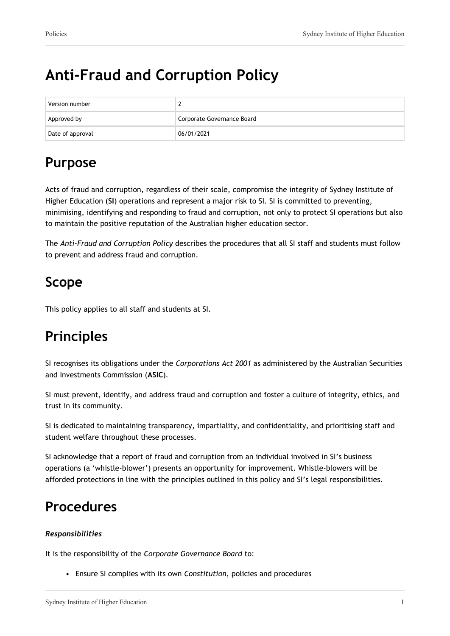# **Anti-Fraud and Corruption Policy**

| Version number   | -                          |
|------------------|----------------------------|
| Approved by      | Corporate Governance Board |
| Date of approval | 06/01/2021                 |

## **Purpose**

Acts of fraud and corruption, regardless of their scale, compromise the integrity of Sydney Institute of Higher Education (**SI**) operations and represent a major risk to SI. SI is committed to preventing, minimising, identifying and responding to fraud and corruption, not only to protect SI operations but also to maintain the positive reputation of the Australian higher education sector.

The *Anti-Fraud and Corruption Policy* describes the procedures that all SI staff and students must follow to prevent and address fraud and corruption.

## **Scope**

This policy applies to all staff and students at SI.

## **Principles**

SI recognises its obligations under the *Corporations Act 2001* as administered by the Australian Securities and Investments Commission (**ASIC**)*.*

SI must prevent, identify, and address fraud and corruption and foster a culture of integrity, ethics, and trust in its community.

SI is dedicated to maintaining transparency, impartiality, and confidentiality, and prioritising staff and student welfare throughout these processes.

SI acknowledge that a report of fraud and corruption from an individual involved in SI's business operations (a 'whistle-blower') presents an opportunity for improvement. Whistle-blowers will be afforded protections in line with the principles outlined in this policy and SI's legal responsibilities.

## **Procedures**

### *Responsibilities*

It is the responsibility of the *Corporate Governance Board* to:

• Ensure SI complies with its own *Constitution*, policies and procedures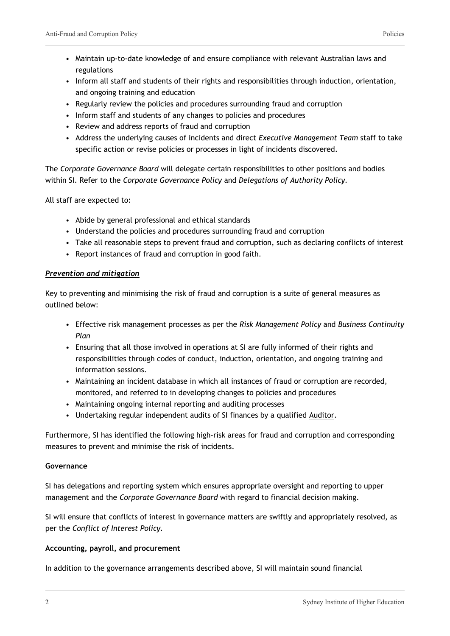- Maintain up-to-date knowledge of and ensure compliance with relevant Australian laws and regulations
- Inform all staff and students of their rights and responsibilities through induction, orientation, and ongoing training and education
- Regularly review the policies and procedures surrounding fraud and corruption
- Inform staff and students of any changes to policies and procedures
- Review and address reports of fraud and corruption
- Address the underlying causes of incidents and direct *Executive Management Team* staff to take specific action or revise policies or processes in light of incidents discovered.

The *Corporate Governance Board* will delegate certain responsibilities to other positions and bodies within SI. Refer to the *Corporate Governance Policy* and *Delegations of Authority Policy.*

All staff are expected to:

- Abide by general professional and ethical standards
- Understand the policies and procedures surrounding fraud and corruption
- Take all reasonable steps to prevent fraud and corruption, such as declaring conflicts of interest
- Report instances of fraud and corruption in good faith.

### *Prevention and mitigation*

Key to preventing and minimising the risk of fraud and corruption is a suite of general measures as outlined below:

- Effective risk management processes as per the *Risk Management Policy* and *Business Continuity Plan*
- Ensuring that all those involved in operations at SI are fully informed of their rights and responsibilities through codes of conduct, induction, orientation, and ongoing training and information sessions.
- Maintaining an incident database in which all instances of fraud or corruption are recorded, monitored, and referred to in developing changes to policies and procedures
- Maintaining ongoing internal reporting and auditing processes
- Undertaking regular independent audits of SI finances by a qualified Auditor.

Furthermore, SI has identified the following high-risk areas for fraud and corruption and corresponding measures to prevent and minimise the risk of incidents.

#### **Governance**

SI has delegations and reporting system which ensures appropriate oversight and reporting to upper management and the *Corporate Governance Board* with regard to financial decision making.

SI will ensure that conflicts of interest in governance matters are swiftly and appropriately resolved, as per the *Conflict of Interest Policy.*

### **Accounting, payroll, and procurement**

In addition to the governance arrangements described above, SI will maintain sound financial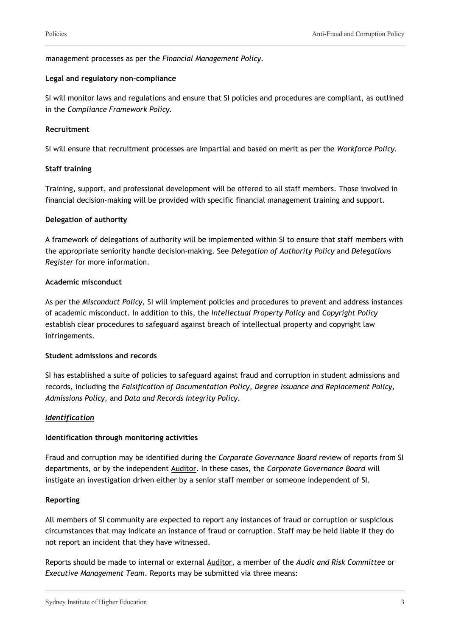#### management processes as per the *Financial Management Policy.*

#### **Legal and regulatory non-compliance**

SI will monitor laws and regulations and ensure that SI policies and procedures are compliant, as outlined in the *Compliance Framework Policy.*

#### **Recruitment**

SI will ensure that recruitment processes are impartial and based on merit as per the *Workforce Policy.*

#### **Staff training**

Training, support, and professional development will be offered to all staff members. Those involved in financial decision-making will be provided with specific financial management training and support.

#### **Delegation of authority**

A framework of delegations of authority will be implemented within SI to ensure that staff members with the appropriate seniority handle decision-making. See *Delegation of Authority Policy* and *Delegations Register* for more information.

#### **Academic misconduct**

As per the *Misconduct Policy,* SI will implement policies and procedures to prevent and address instances of academic misconduct. In addition to this, the *Intellectual Property Policy* and *Copyright Policy* establish clear procedures to safeguard against breach of intellectual property and copyright law infringements.

#### **Student admissions and records**

SI has established a suite of policies to safeguard against fraud and corruption in student admissions and records, including the *Falsification of Documentation Policy, Degree Issuance and Replacement Policy, Admissions Policy,* and *Data and Records Integrity Policy.*

### *Identification*

#### **Identification through monitoring activities**

Fraud and corruption may be identified during the *Corporate Governance Board* review of reports from SI departments, or by the independent Auditor. In these cases, the *Corporate Governance Board* will instigate an investigation driven either by a senior staff member or someone independent of SI.

#### **Reporting**

All members of SI community are expected to report any instances of fraud or corruption or suspicious circumstances that may indicate an instance of fraud or corruption. Staff may be held liable if they do not report an incident that they have witnessed.

Reports should be made to internal or external Auditor, a member of the *Audit and Risk Committee* or *Executive Management Team*. Reports may be submitted via three means: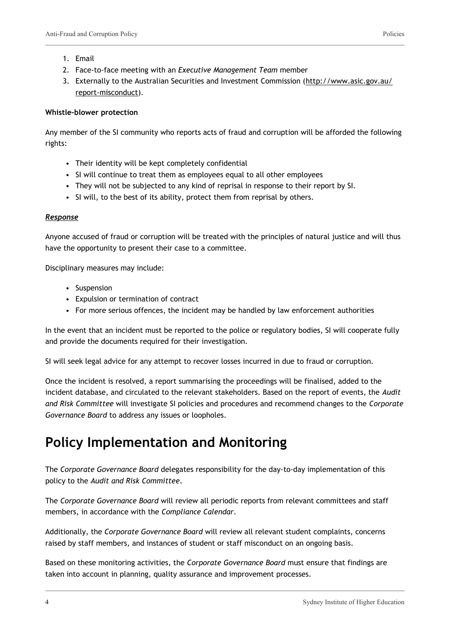- 1. Email
- 2. Face-to-face meeting with an *Executive Management Team* member
- 3. Externally to the Australian Securities and Investment Commission ([http://www.asic.gov.au/](http://www.asic.gov.au/report-misconduct) [report-misconduct\)](http://www.asic.gov.au/report-misconduct).

#### **Whistle-blower protection**

Any member of the SI community who reports acts of fraud and corruption will be afforded the following rights:

- Their identity will be kept completely confidential
- SI will continue to treat them as employees equal to all other employees
- They will not be subjected to any kind of reprisal in response to their report by SI.
- SI will, to the best of its ability, protect them from reprisal by others.

#### *Response*

Anyone accused of fraud or corruption will be treated with the principles of natural justice and will thus have the opportunity to present their case to a committee.

Disciplinary measures may include:

- Suspension
- Expulsion or termination of contract
- For more serious offences, the incident may be handled by law enforcement authorities

In the event that an incident must be reported to the police or regulatory bodies, SI will cooperate fully and provide the documents required for their investigation.

SI will seek legal advice for any attempt to recover losses incurred in due to fraud or corruption.

Once the incident is resolved, a report summarising the proceedings will be finalised, added to the incident database, and circulated to the relevant stakeholders. Based on the report of events, the *Audit and Risk Committee* will investigate SI policies and procedures and recommend changes to the *Corporate Governance Board* to address any issues or loopholes.

### **Policy Implementation and Monitoring**

The *Corporate Governance Board* delegates responsibility for the day-to-day implementation of this policy to the *Audit and Risk Committee*.

The *Corporate Governance Board* will review all periodic reports from relevant committees and staff members, in accordance with the *Compliance Calendar*.

Additionally, the *Corporate Governance Board* will review all relevant student complaints, concerns raised by staff members, and instances of student or staff misconduct on an ongoing basis.

Based on these monitoring activities, the *Corporate Governance Board* must ensure that findings are taken into account in planning, quality assurance and improvement processes.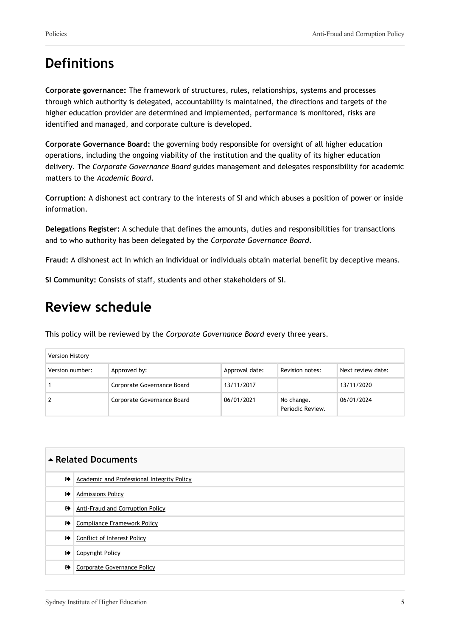## **Definitions**

**Corporate governance:** The framework of structures, rules, relationships, systems and processes through which authority is delegated, accountability is maintained, the directions and targets of the higher education provider are determined and implemented, performance is monitored, risks are identified and managed, and corporate culture is developed.

**Corporate Governance Board:** the governing body responsible for oversight of all higher education operations, including the ongoing viability of the institution and the quality of its higher education delivery. The *Corporate Governance Board* guides management and delegates responsibility for academic matters to the *Academic Board*.

**Corruption:** A dishonest act contrary to the interests of SI and which abuses a position of power or inside information.

**Delegations Register:** A schedule that defines the amounts, duties and responsibilities for transactions and to who authority has been delegated by the *Corporate Governance Board*.

**Fraud:** A dishonest act in which an individual or individuals obtain material benefit by deceptive means.

**SI Community:** Consists of staff, students and other stakeholders of SI.

### **Review schedule**

This policy will be reviewed by the *Corporate Governance Board* every three years.

| Version History |                            |                |                                |                   |
|-----------------|----------------------------|----------------|--------------------------------|-------------------|
| Version number: | Approved by:               | Approval date: | Revision notes:                | Next review date: |
|                 | Corporate Governance Board | 13/11/2017     |                                | 13/11/2020        |
|                 | Corporate Governance Board | 06/01/2021     | No change.<br>Periodic Review. | 06/01/2024        |

| ▲ Related Documents  |                                            |  |
|----------------------|--------------------------------------------|--|
| $\bullet$            | Academic and Professional Integrity Policy |  |
| $\ddot{\phantom{1}}$ | <b>Admissions Policy</b>                   |  |
| $\bullet$            | Anti-Fraud and Corruption Policy           |  |
| $\bullet$            | <b>Compliance Framework Policy</b>         |  |
| ☞                    | <b>Conflict of Interest Policy</b>         |  |
| ☞                    | Copyright Policy                           |  |
| ☞                    | Corporate Governance Policy                |  |